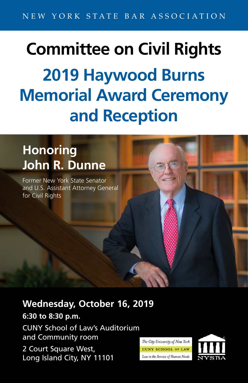## **Committee on Civil Rights 2019 Haywood Burns Memorial Award Ceremony and Reception**

## **Honoring John R. Dunne**

Former New York State Senator and U.S. Assistant Attorney General for Civil Rights

## **Wednesday, October 16, 2019**

**6:30 to 8:30 p.m.** CUNY School of Law's Auditorium and Community room 2 Court Square West, Long Island City, NY 11101